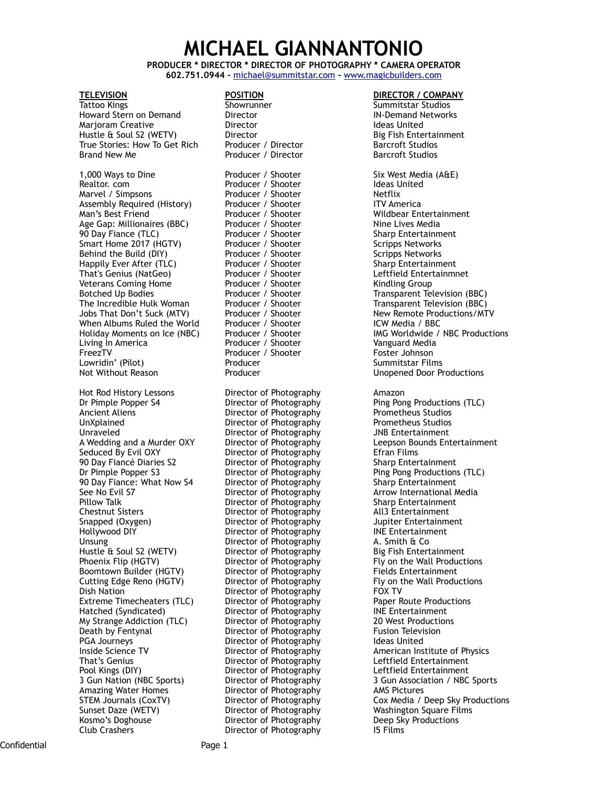# **MICHAEL GIANNANTONIO**

**PRODUCER \* DIRECTOR \* DIRECTOR OF PHOTOGRAPHY \* CAMERA OPERATOR 602.751.0944 -** [michael@summitstar.com](mailto:michael@summitstar.com) **-** [www.magicbuilders.com](http://www.magicbuilders.com)

Howard Stern on Demand **Director IN-Demand Networks** Marjoram Creative **Ideas United** Director **Ideas United** Hustle & Soul S2 (WETV) Director Big Fish Entertainment True Stories: How To Get Rich Producer / Director Barcroft Studios Brand New Me **Brand New Me** Producer / Director **Barcroft Studios** 

1,000 Ways to Dine **1.000 Froducer / Shooter** Six West Media (A&E) 8 and Realtor. com Solution Producer / Shooter Shooter Shooter Shooter Shooter Shooter Shooter Shooter Shooter Shooter Shooter Shooter Shooter Shooter Shoo Realtor. com Producer / Shooter Ideas United Assembly Required (History) Producer / Shooter TTV America<br>Man's Best Friend **ITC America** Producer / Shooter The Wildbear En Man's Best Friend **Producer / Shooter** Mildbear Entertainment<br>Age Gap: Millionaires (BBC) Producer / Shooter Mine Lives Media Age Gap: Millionaires (BBC) Producer / Shooter<br>90 Day Fiance (TLC) Producer / Shooter Smart Home 2017 (HGTV) Producer / Shooter Scripps Networks<br>
Behind the Build (DIY) Producer / Shooter Scripps Networks Behind the Build (DIY) **Producer / Shooter** Scripps Networks Happily Ever After (TLC) Producer / Shooter Sharp Entertainment<br>That's Genius (NatGeo) Producer / Shooter Leftfield Entertainmnet That's Genius (NatGeo) That's Genius (NatGeo) and Broducer / Shooter and Leftfield Entering Producer / Shooter<br>
Producer / Shooter and Mindling Group Veterans Coming Home **Producer / Shooter Botched Up Bodies Producer / Shooter** Botched Up Bodies Producer / Shooter Transparent Television (BBC) The Incredible Hulk Woman **Producer / Shooter** Transparent Television (BBC)<br>
Jobs That Don't Suck (MTV) Producer / Shooter New Remote Productions/MTV Jobs That Don't Suck (MTV) Producer / Shooter New Remote Productions Remote Productions (New Remote Production<br>1980 When Albums Ruled the World Producer / Shooter When Albums Ruled the World Producer / Shooter Indian Wedia and Producer / Shooter FreezTV **Producer / Shooter Foster Johnson** Lowridin' (Pilot) **Producer Films** Producer Commitstar Films<br>
Not Without Reason **Register Producer** Producer Commitstar Films

Hot Rod History Lessons **Director of Photography** Amazon<br>
Director of Photography **Amazon**<br>
Ping Pon Ancient Aliens **Director of Photography** UnXplained Director of Photography Prometheus Studios Unraveled Director of Photography Seduced By Evil OXY Director of Photography Efran Films 90 Day Fiancé Diaries S2 Director of Photography Sharp Entertainment Dr Pimple Popper S3 Director of Photography Ping Pong Productions (TLC) 90 Day Fiance: What Now S4 Director of Photography Sharp Entertainment See No Evil S7 **Director of Photography** Arrow International Media Pillow Talk Director of Photography Sharp Entertainment Chestnut Sisters Director of Photography All3 Entertainment Hollywood DIY Director of Photography INE Entertainment Unsung Unsung Director of Photography A. Smith & Co<br>
Hustle & Soul S2 (WETV) Director of Photography Big Fish Entertainment Hustle & Soul S2 (WETV) Director of Photography<br>
Phoenix Flip (HGTV) Director of Photography Phoenix Flip (HGTV) **Director of Photography** Fly on the Wall Productions Boomtown Builder (HGTV) Director of Photography Fields Entertainment Cutting Edge Reno (HGTV) Director of Photography Fly on the Wall Productions Dish Nation **Director of Photography** FOX TV<br>
Extreme Timecheaters (TLC) Director of Photography **Paper Route Productions** Extreme Timecheaters (TLC) Director of Photography Paper Route Productions (TLC) Director of Photography Paper Route Productions Retainment My Strange Addiction (TLC) Death by Fentynal **Director of Photography** Fusion Television PGA Journeys **Director of Photography** Ideas United Inside Science TV **Inside Science TV** Director of Photography **American Institute of Physics**<br>
That's Genius **Mathem Constitute of Photography Constitute Constitute American Institute of Physics** That's Genius **Communist Communist Communist Communist Communist Communist Communist Communist Communist Communist Communist Communist Communist Communist Communist Communist Communist Communist Communist Communist Communi** Amazing Water Homes **Director of Photography** AMS Pictures<br>
STEM Journals (CoxTV) Director of Photography **AMS** Cox Media / Sunset Daze (WETV) Director of Photography Washington Square Films Kosmo's Doghouse Director of Photography Deep Sky Productions

# **TELEVISION POSITION DIRECTOR / COMPANY** Producer / Shooter Producer / Shooter

Director of Photography

Director of Photography

Summitstar Studios

Sharp Entertainment Holiday Moments on Ice (NBC) Producer / Shooter IMG Worldwide / NBC Productions<br>
Living In America Improducer / Shooter International Vanguard Media Unopened Door Productions Ping Pong Productions (TLC)<br>Prometheus Studios A Wedding and a Murder OXY Director of Photography Leepson Bounds Entertainment Director of Photography **Jupiter Entertainment** Hatched (Syndicated) Director of Photography INE Entertainment 3 Gun Nation (NBC Sports) Director of Photography 3 Gun Association / NBC Sports Cox Media / Deep Sky Productions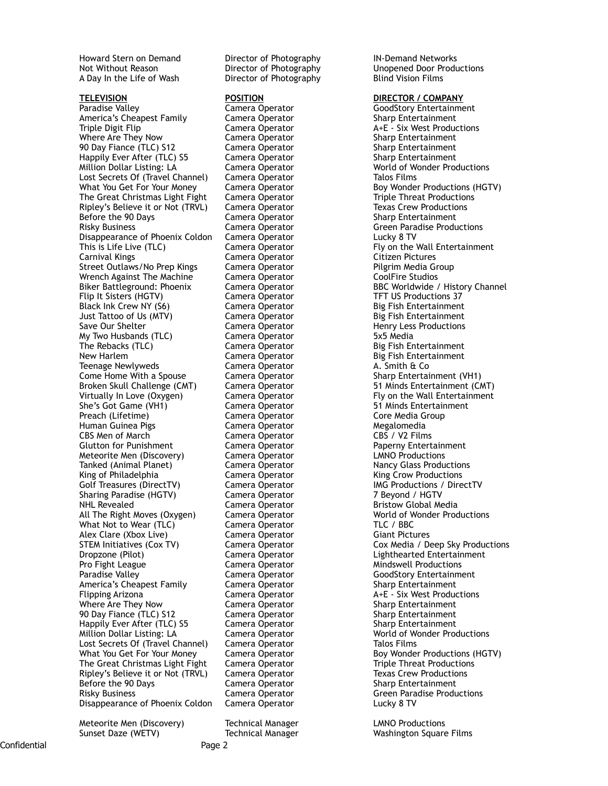Howard Stern on Demand Director of Photography IN-Demand Networks A Day In the Life of Wash **Director of Photography** Blind Vision Films

**TELEVISION POSITION DIRECTOR / COMPANY** America's Cheapest Family Camera Operator Sharp Entertainment Triple Digit Flip Camera Operator A+E - Six West Productions Where Are They Now Camera Operator Sharp Entertainment 90 Day Fiance (TLC) S12 Camera Operator Sharp Entertainment Happily Ever After (TLC) S5 Camera Operator Million Dollar Listing: LA Camera Operator North Control of Wonder Productions Lost Secrets Of (Travel Channel) Camera Operator Talos Films What You Get For Your Money Camera Operator Boy Wonder Productions (HGTV)<br>The Great Christmas Light Fight Camera Operator Triple Threat Productions The Great Christmas Light Fight Camera Operator Triple Threat Productions Ripley's Believe it or Not (TRVL) Camera Operator Texas Crew Productions Before the 90 Days **Camera Operator** Sharp Entertainment Risky Business Camera Operator Green Paradise Productions Disappearance of Phoenix Coldon Camera Operator Lucky 8 TV Carnival Kings Camera Operator Street Outlaws/No Prep Kings Camera Operator **Pilgrim Media Group** Wrench Against The Machine Camera Operator CoolFire Studios Biker Battleground: Phoenix Camera Operator BBC Worldwide / History Channel Flip It Sisters (HGTV) **Camera Operator** TFT US Productions 37 Black Ink Crew NY (S6) Camera Operator Big Fish Entertainment Just Tattoo of Us (MTV) Camera Operator Big Fish Entertainment Save Our Shelter **Camera Operator** Camera Operator **Henry Less Productions** My Two Husbands (TLC) Camera Operator 6x5 Media The Rebacks (TLC) **Camera Operator** Big Fish Entertainment New Harlem **Camera Operator** Big Fish Entertainment Teenage Newlyweds Camera Operator A. Smith & Co Broken Skull Challenge (CMT) Camera Operator 51 Minds Entertainment (CMT) Virtually In Love (Oxygen) Camera Operator Fly on the Wall Entertainment She's Got Game (VH1) Camera Operator 51 Minds Entertainment Preach (Lifetime) Camera Operator Core Media Group Human Guinea Pigs Camera Operator Megalomedia Glutton for Punishment **Camera Operator** Paperny Entertainment Meteorite Men (Discovery) Camera Operator LMNO Productions Tanked (Animal Planet) **Camera Operator** Nancy Glass Productions King of Philadelphia **Camera Operator** King Crow Productions Golf Treasures (DirectTV) Camera Operator Camera Colf Treasures (DirectTV Sharing Paradise (HGTV) Camera Operator 7 Beyond / HGTV NHL Revealed **Camera Operator** Bristow Global Media All The Right Moves (Oxygen) Camera Operator World of Wonder Productions<br>What Not to Wear (TLC) Camera Operator TLC / BBC What Not to Wear (TLC) Alex Clare (Xbox Live) Camera Operator Giant Pictures STEM Initiatives (Cox TV) Camera Operator Cox Media / Deep Sky Productions Dropzone (Pilot) Camera Operator Lighthearted Entertainment Pro Fight League The Camera Operator The Mindswell Productions Paradise Valley Camera Operator GoodStory Entertainment America's Cheapest Family Flipping Arizona **Camera Operator** A+E - Six West Productions Where Are They Now Camera Operator The Sharp Entertainment 90 Day Fiance (TLC) S12 Camera Operator Sharp Entertainment Happily Ever After (TLC) S5 Camera Operator Sharp Entertainment Million Dollar Listing: LA Camera Operator World of Wonder Productions Lost Secrets Of (Travel Channel) Camera Operator Talos Films What You Get For Your Money Camera Operator **Boy Wonder Productions (HGTV)** The Great Christmas Light Fight Camera Operator Triple Threat Productions Ripley's Believe it or Not (TRVL) Before the 90 Days **Camera Operator** Sharp Entertainment Risky Business **Camera Operator** Camera Comerator Green Paradise Productions Consider Paradise Productions Constantions Constantions Constantions Constantions Constantions Constantions Constantions Constantions Constantion Disappearance of Phoenix Coldon

Camera Operator

Meteorite Men (Discovery) Technical Manager LMNO Productions

Not Without Reason Director of Photography Unopened Door Productions

**GoodStory Entertainment** This Camera Operator **Camera Operator** Fly on the Wall Entertainment<br>
Camera Operator **Fluit Entertainment**<br>
Citizen Pictures Camera Operator Sharp Entertainment (VH1)

Sunset Daze (WETV) Technical Manager Mashington Square Films